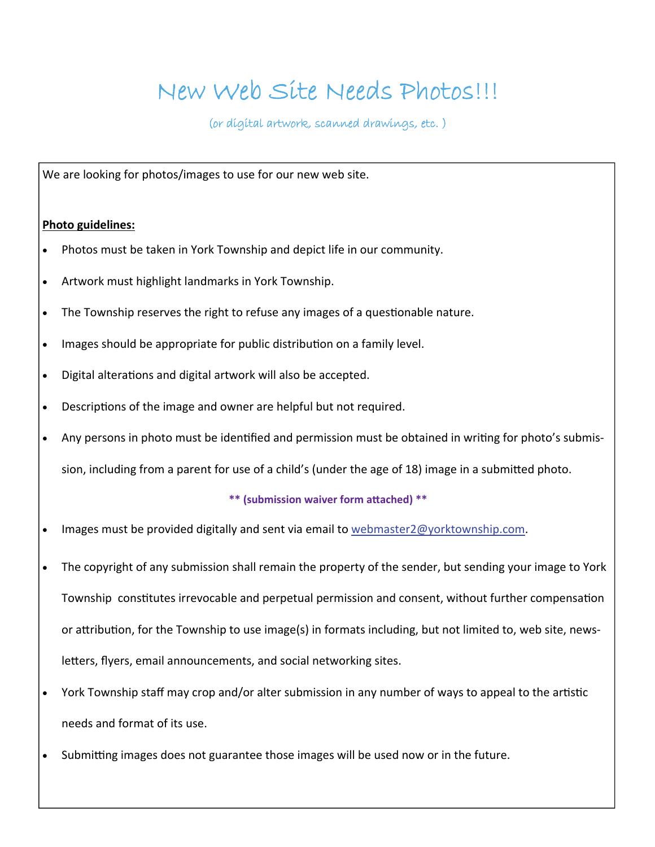## New Web Site Needs Photos!!!

(or digital artwork, scanned drawings, etc. )

We are looking for photos/images to use for our new web site.

## **Photo guidelines:**

- Photos must be taken in York Township and depict life in our community.
- Artwork must highlight landmarks in York Township.
- The Township reserves the right to refuse any images of a questionable nature.
- Images should be appropriate for public distribution on a family level.
- Digital alterations and digital artwork will also be accepted.
- Descriptions of the image and owner are helpful but not required.
- Any persons in photo must be identified and permission must be obtained in writing for photo's submis-

sion, including from a parent for use of a child's (under the age of 18) image in a submitted photo.

## **\*\* (submission waiver form aƩached) \*\***

- Images must be provided digitally and sent via email to [webmaster2@yorktownship.com.](mailto:webmaster2@yorktownship.com)
- The copyright of any submission shall remain the property of the sender, but sending your image to York Township constitutes irrevocable and perpetual permission and consent, without further compensation or attribution, for the Township to use image(s) in formats including, but not limited to, web site, newsletters, flyers, email announcements, and social networking sites.
- York Township staff may crop and/or alter submission in any number of ways to appeal to the artistic needs and format of its use.
- Submitting images does not guarantee those images will be used now or in the future.